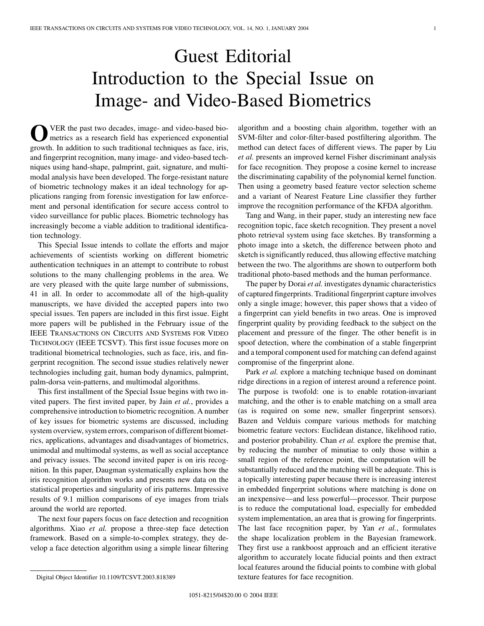## Guest Editorial Introduction to the Special Issue on Image- and Video-Based Biometrics

VER the past two decades, image- and video-based biometrics as a research field has experienced exponential growth. In addition to such traditional techniques as face, iris, and fingerprint recognition, many image- and video-based techniques using hand-shape, palmprint, gait, signature, and multimodal analysis have been developed. The forge-resistant nature of biometric technology makes it an ideal technology for applications ranging from forensic investigation for law enforcement and personal identification for secure access control to video surveillance for public places. Biometric technology has increasingly become a viable addition to traditional identification technology.

This Special Issue intends to collate the efforts and major achievements of scientists working on different biometric authentication techniques in an attempt to contribute to robust solutions to the many challenging problems in the area. We are very pleased with the quite large number of submissions, 41 in all. In order to accommodate all of the high-quality manuscripts, we have divided the accepted papers into two special issues. Ten papers are included in this first issue. Eight more papers will be published in the February issue of the IEEE TRANSACTIONS ON CIRCUITS AND SYSTEMS FOR VIDEO TECHNOLOGY (IEEE TCSVT). This first issue focuses more on traditional biometrical technologies, such as face, iris, and fingerprint recognition. The second issue studies relatively newer technologies including gait, human body dynamics, palmprint, palm-dorsa vein-patterns, and multimodal algorithms.

This first installment of the Special Issue begins with two invited papers. The first invited paper, by Jain *et al.*, provides a comprehensive introduction to biometric recognition. A number of key issues for biometric systems are discussed, including system overview, system errors, comparison of different biometrics, applications, advantages and disadvantages of biometrics, unimodal and multimodal systems, as well as social acceptance and privacy issues. The second invited paper is on iris recognition. In this paper, Daugman systematically explains how the iris recognition algorithm works and presents new data on the statistical properties and singularity of iris patterns. Impressive results of 9.1 million comparisons of eye images from trials around the world are reported.

The next four papers focus on face detection and recognition algorithms. Xiao *et al.* propose a three-step face detection framework. Based on a simple-to-complex strategy, they develop a face detection algorithm using a simple linear filtering

Tang and Wang, in their paper, study an interesting new face recognition topic, face sketch recognition. They present a novel photo retrieval system using face sketches. By transforming a photo image into a sketch, the difference between photo and sketch is significantly reduced, thus allowing effective matching between the two. The algorithms are shown to outperform both traditional photo-based methods and the human performance.

The paper by Dorai *et al.* investigates dynamic characteristics of captured fingerprints. Traditional fingerprint capture involves only a single image; however, this paper shows that a video of a fingerprint can yield benefits in two areas. One is improved fingerprint quality by providing feedback to the subject on the placement and pressure of the finger. The other benefit is in spoof detection, where the combination of a stable fingerprint and a temporal component used for matching can defend against compromise of the fingerprint alone.

Park *et al.* explore a matching technique based on dominant ridge directions in a region of interest around a reference point. The purpose is twofold: one is to enable rotation-invariant matching, and the other is to enable matching on a small area (as is required on some new, smaller fingerprint sensors). Bazen and Velduis compare various methods for matching biometric feature vectors: Euclidean distance, likelihood ratio, and posterior probability. Chan *et al.* explore the premise that, by reducing the number of minutiae to only those within a small region of the reference point, the computation will be substantially reduced and the matching will be adequate. This is a topically interesting paper because there is increasing interest in embedded fingerprint solutions where matching is done on an inexpensive—and less powerful—processor. Their purpose is to reduce the computational load, especially for embedded system implementation, an area that is growing for fingerprints. The last face recognition paper, by Yan *et al.*, formulates the shape localization problem in the Bayesian framework. They first use a rankboost approach and an efficient iterative algorithm to accurately locate fiducial points and then extract local features around the fiducial points to combine with global texture features for face recognition.

algorithm and a boosting chain algorithm, together with an SVM-filter and color-filter-based postfiltering algorithm. The method can detect faces of different views. The paper by Liu *et al.* presents an improved kernel Fisher discriminant analysis for face recognition. They propose a cosine kernel to increase the discriminating capability of the polynomial kernel function. Then using a geometry based feature vector selection scheme and a variant of Nearest Feature Line classifier they further improve the recognition performance of the KFDA algorithm.

Digital Object Identifier 10.1109/TCSVT.2003.818389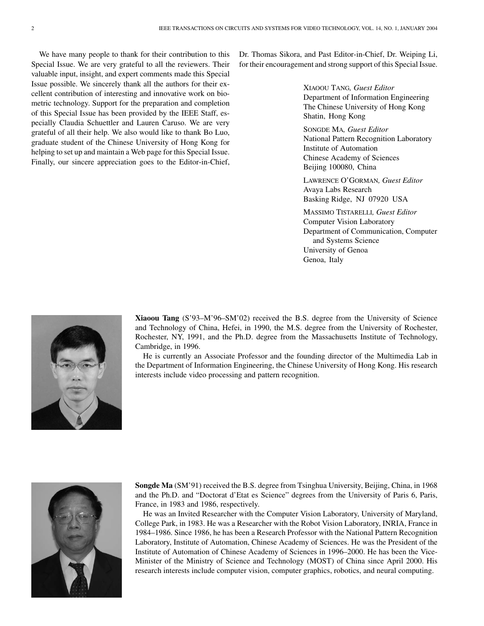We have many people to thank for their contribution to this Special Issue. We are very grateful to all the reviewers. Their valuable input, insight, and expert comments made this Special Issue possible. We sincerely thank all the authors for their excellent contribution of interesting and innovative work on biometric technology. Support for the preparation and completion of this Special Issue has been provided by the IEEE Staff, especially Claudia Schuettler and Lauren Caruso. We are very grateful of all their help. We also would like to thank Bo Luo, graduate student of the Chinese University of Hong Kong for helping to set up and maintain a Web page for this Special Issue. Finally, our sincere appreciation goes to the Editor-in-Chief,

Dr. Thomas Sikora, and Past Editor-in-Chief, Dr. Weiping Li, for their encouragement and strong support of this Special Issue.

> XIAOOU TANG*, Guest Editor* Department of Information Engineering The Chinese University of Hong Kong Shatin, Hong Kong

SONGDE MA*, Guest Editor* National Pattern Recognition Laboratory Institute of Automation Chinese Academy of Sciences Beijing 100080, China

LAWRENCE O'GORMAN*, Guest Editor* Avaya Labs Research Basking Ridge, NJ 07920 USA

MASSIMO TISTARELLI*, Guest Editor* Computer Vision Laboratory Department of Communication, Computer and Systems Science University of Genoa Genoa, Italy



**Xiaoou Tang** (S'93–M'96–SM'02) received the B.S. degree from the University of Science and Technology of China, Hefei, in 1990, the M.S. degree from the University of Rochester, Rochester, NY, 1991, and the Ph.D. degree from the Massachusetts Institute of Technology, Cambridge, in 1996.

He is currently an Associate Professor and the founding director of the Multimedia Lab in the Department of Information Engineering, the Chinese University of Hong Kong. His research interests include video processing and pattern recognition.



**Songde Ma** (SM'91) received the B.S. degree from Tsinghua University, Beijing, China, in 1968 and the Ph.D. and "Doctorat d'Etat es Science" degrees from the University of Paris 6, Paris, France, in 1983 and 1986, respectively.

He was an Invited Researcher with the Computer Vision Laboratory, University of Maryland, College Park, in 1983. He was a Researcher with the Robot Vision Laboratory, INRIA, France in 1984–1986. Since 1986, he has been a Research Professor with the National Pattern Recognition Laboratory, Institute of Automation, Chinese Academy of Sciences. He was the President of the Institute of Automation of Chinese Academy of Sciences in 1996–2000. He has been the Vice-Minister of the Ministry of Science and Technology (MOST) of China since April 2000. His research interests include computer vision, computer graphics, robotics, and neural computing.